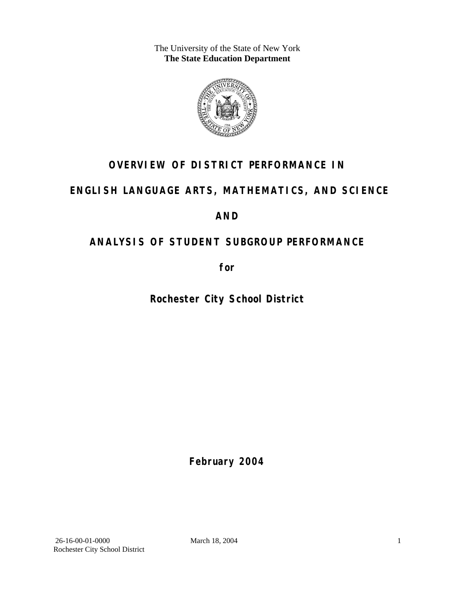The University of the State of New York **The State Education Department** 



# **OVERVIEW OF DISTRICT PERFORMANCE IN**

# **ENGLISH LANGUAGE ARTS, MATHEMATICS, AND SCIENCE**

# **AND**

# **ANALYSIS OF STUDENT SUBGROUP PERFORMANCE**

**for** 

**Rochester City School District**

**February 2004**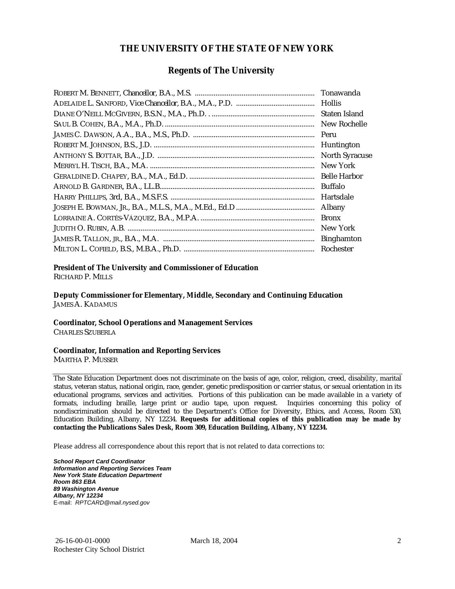#### **THE UNIVERSITY OF THE STATE OF NEW YORK**

#### **Regents of The University**

| Tonawanda             |
|-----------------------|
| <b>Hollis</b>         |
| Staten Island         |
| New Rochelle          |
| Peru                  |
| Huntington            |
| <b>North Syracuse</b> |
| New York              |
| <b>Belle Harbor</b>   |
| Buffalo               |
| Hartsdale             |
| Albany                |
| <b>Bronx</b>          |
| New York              |
| <b>Binghamton</b>     |
| Rochester             |

#### **President of The University and Commissioner of Education**

RICHARD P. MILLS

**Deputy Commissioner for Elementary, Middle, Secondary and Continuing Education**  JAMES A. KADAMUS

#### **Coordinator, School Operations and Management Services**

CHARLES SZUBERLA

#### **Coordinator, Information and Reporting Services**

MARTHA P. MUSSER

The State Education Department does not discriminate on the basis of age, color, religion, creed, disability, marital status, veteran status, national origin, race, gender, genetic predisposition or carrier status, or sexual orientation in its educational programs, services and activities. Portions of this publication can be made available in a variety of formats, including braille, large print or audio tape, upon request. Inquiries concerning this policy of nondiscrimination should be directed to the Department's Office for Diversity, Ethics, and Access, Room 530, Education Building, Albany, NY 12234. **Requests for additional copies of this publication may be made by contacting the Publications Sales Desk, Room 309, Education Building, Albany, NY 12234.** 

Please address all correspondence about this report that is not related to data corrections to:

*School Report Card Coordinator Information and Reporting Services Team New York State Education Department Room 863 EBA 89 Washington Avenue Albany, NY 12234*  E-mail: *RPTCARD@mail.nysed.gov*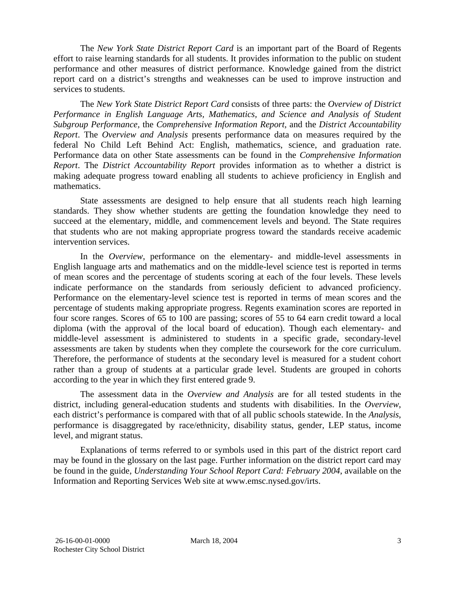The *New York State District Report Card* is an important part of the Board of Regents effort to raise learning standards for all students. It provides information to the public on student performance and other measures of district performance. Knowledge gained from the district report card on a district's strengths and weaknesses can be used to improve instruction and services to students.

The *New York State District Report Card* consists of three parts: the *Overview of District Performance in English Language Arts, Mathematics, and Science and Analysis of Student Subgroup Performance,* the *Comprehensive Information Report,* and the *District Accountability Report*. The *Overview and Analysis* presents performance data on measures required by the federal No Child Left Behind Act: English, mathematics, science, and graduation rate. Performance data on other State assessments can be found in the *Comprehensive Information Report*. The *District Accountability Report* provides information as to whether a district is making adequate progress toward enabling all students to achieve proficiency in English and mathematics.

State assessments are designed to help ensure that all students reach high learning standards. They show whether students are getting the foundation knowledge they need to succeed at the elementary, middle, and commencement levels and beyond. The State requires that students who are not making appropriate progress toward the standards receive academic intervention services.

In the *Overview*, performance on the elementary- and middle-level assessments in English language arts and mathematics and on the middle-level science test is reported in terms of mean scores and the percentage of students scoring at each of the four levels. These levels indicate performance on the standards from seriously deficient to advanced proficiency. Performance on the elementary-level science test is reported in terms of mean scores and the percentage of students making appropriate progress. Regents examination scores are reported in four score ranges. Scores of 65 to 100 are passing; scores of 55 to 64 earn credit toward a local diploma (with the approval of the local board of education). Though each elementary- and middle-level assessment is administered to students in a specific grade, secondary-level assessments are taken by students when they complete the coursework for the core curriculum. Therefore, the performance of students at the secondary level is measured for a student cohort rather than a group of students at a particular grade level. Students are grouped in cohorts according to the year in which they first entered grade 9.

The assessment data in the *Overview and Analysis* are for all tested students in the district, including general-education students and students with disabilities. In the *Overview*, each district's performance is compared with that of all public schools statewide. In the *Analysis*, performance is disaggregated by race/ethnicity, disability status, gender, LEP status, income level, and migrant status.

Explanations of terms referred to or symbols used in this part of the district report card may be found in the glossary on the last page. Further information on the district report card may be found in the guide, *Understanding Your School Report Card: February 2004*, available on the Information and Reporting Services Web site at www.emsc.nysed.gov/irts.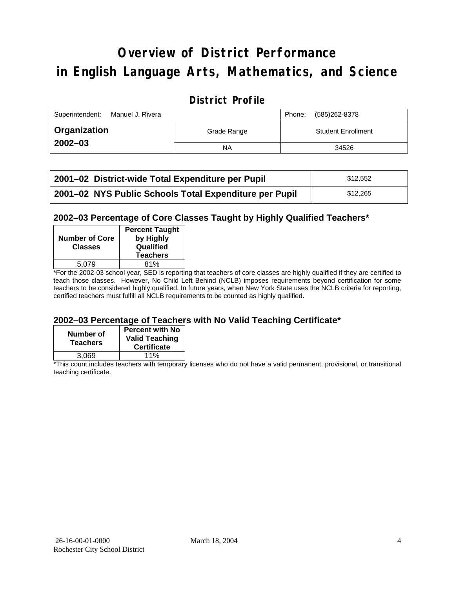# **Overview of District Performance in English Language Arts, Mathematics, and Science**

## **District Profile**

| Superintendent:<br>Manuel J. Rivera |             | Phone: | (585)262-8378             |
|-------------------------------------|-------------|--------|---------------------------|
| ∣ Organization                      | Grade Range |        | <b>Student Enrollment</b> |
| $2002 - 03$                         | <b>NA</b>   |        | 34526                     |

| 2001-02 District-wide Total Expenditure per Pupil      | \$12.552 |
|--------------------------------------------------------|----------|
| 2001-02 NYS Public Schools Total Expenditure per Pupil | \$12,265 |

#### **2002–03 Percentage of Core Classes Taught by Highly Qualified Teachers\***

| <b>Number of Core</b><br><b>Classes</b> | <b>Percent Taught</b><br>by Highly<br>Qualified<br><b>Teachers</b> |
|-----------------------------------------|--------------------------------------------------------------------|
| 5.079                                   | 81%                                                                |
| . .                                     |                                                                    |

\*For the 2002-03 school year, SED is reporting that teachers of core classes are highly qualified if they are certified to teach those classes. However, No Child Left Behind (NCLB) imposes requirements beyond certification for some teachers to be considered highly qualified. In future years, when New York State uses the NCLB criteria for reporting, certified teachers must fulfill all NCLB requirements to be counted as highly qualified.

#### **2002–03 Percentage of Teachers with No Valid Teaching Certificate\***

| Number of<br><b>Teachers</b> | <b>Percent with No</b><br><b>Valid Teaching</b><br><b>Certificate</b> |
|------------------------------|-----------------------------------------------------------------------|
| 3.069                        | 11%                                                                   |

\*This count includes teachers with temporary licenses who do not have a valid permanent, provisional, or transitional teaching certificate.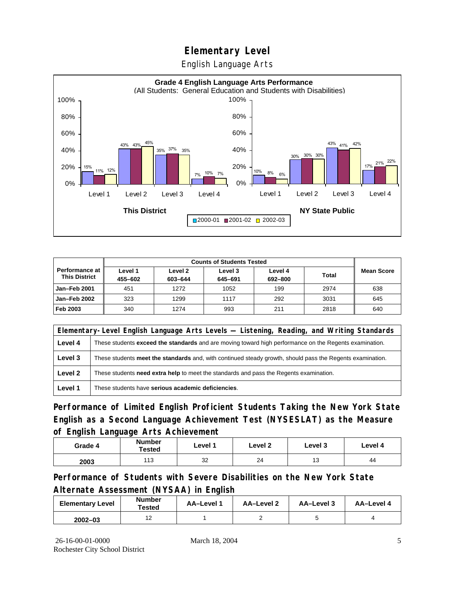English Language Arts



| <b>Counts of Students Tested</b>              |                    |                    |                    |                    |              |                   |
|-----------------------------------------------|--------------------|--------------------|--------------------|--------------------|--------------|-------------------|
| <b>Performance at</b><br><b>This District</b> | Level 1<br>455-602 | Level 2<br>603-644 | Level 3<br>645-691 | Level 4<br>692-800 | <b>Total</b> | <b>Mean Score</b> |
| Jan-Feb 2001                                  | 451                | 1272               | 1052               | 199                | 2974         | 638               |
| Jan-Feb 2002                                  | 323                | 1299               | 1117               | 292                | 3031         | 645               |
| Feb 2003                                      | 340                | 1274               | 993                | 211                | 2818         | 640               |

|         | Elementary-Level English Language Arts Levels — Listening, Reading, and Writing Standards                 |  |  |  |  |  |
|---------|-----------------------------------------------------------------------------------------------------------|--|--|--|--|--|
| Level 4 | These students exceed the standards and are moving toward high performance on the Regents examination.    |  |  |  |  |  |
| Level 3 | These students meet the standards and, with continued steady growth, should pass the Regents examination. |  |  |  |  |  |
| Level 2 | These students <b>need extra help</b> to meet the standards and pass the Regents examination.             |  |  |  |  |  |
| Level 1 | These students have serious academic deficiencies.                                                        |  |  |  |  |  |

**Performance of Limited English Proficient Students Taking the New York State English as a Second Language Achievement Test (NYSESLAT) as the Measure of English Language Arts Achievement**

| Grade 4 | <b>Number</b><br>Tested | Level 1 | Level 2 | Level 3 | Level 4 |
|---------|-------------------------|---------|---------|---------|---------|
| 2003    | 113                     | 32      | 24      | 13      | 44      |

**Performance of Students with Severe Disabilities on the New York State Alternate Assessment (NYSAA) in English** 

| <b>Elementary Level</b> | <b>Number</b><br>Tested | AA-Level 1 | AA-Level 2 | AA-Level 3 | AA-Level 4 |
|-------------------------|-------------------------|------------|------------|------------|------------|
| $2002 - 03$             |                         |            |            |            |            |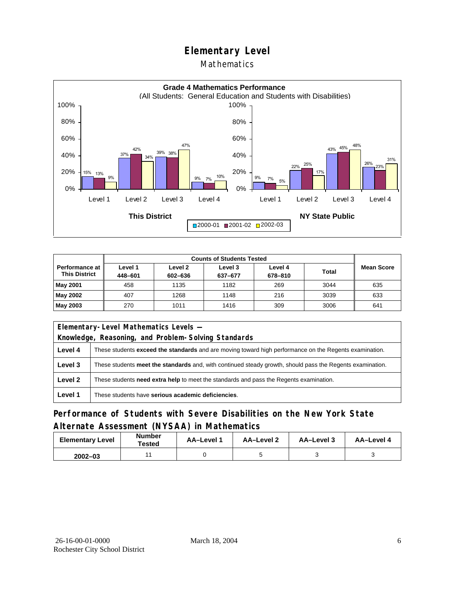#### **Mathematics**



| <b>Counts of Students Tested</b>                |                    |                               |                    |                    |              |                   |
|-------------------------------------------------|--------------------|-------------------------------|--------------------|--------------------|--------------|-------------------|
| <b>Performance at I</b><br><b>This District</b> | ∟evel 1<br>448-601 | Level <sub>2</sub><br>602-636 | Level 3<br>637-677 | Level 4<br>678-810 | <b>Total</b> | <b>Mean Score</b> |
| May 2001                                        | 458                | 1135                          | 1182               | 269                | 3044         | 635               |
| May 2002                                        | 407                | 1268                          | 1148               | 216                | 3039         | 633               |
| May 2003                                        | 270                | 1011                          | 1416               | 309                | 3006         | 641               |

| Elementary-Level Mathematics Levels - |                                                                                                               |  |  |  |
|---------------------------------------|---------------------------------------------------------------------------------------------------------------|--|--|--|
|                                       | Knowledge, Reasoning, and Problem-Solving Standards                                                           |  |  |  |
| Level 4                               | These students <b>exceed the standards</b> and are moving toward high performance on the Regents examination. |  |  |  |
| Level 3                               | These students meet the standards and, with continued steady growth, should pass the Regents examination.     |  |  |  |
| Level 2                               | These students need extra help to meet the standards and pass the Regents examination.                        |  |  |  |
| Level 1                               | These students have serious academic deficiencies.                                                            |  |  |  |

## **Performance of Students with Severe Disabilities on the New York State Alternate Assessment (NYSAA) in Mathematics**

| <b>Elementary Level</b> | <b>Number</b><br>Tested | <b>AA-Level 1</b> | AA-Level 2 | AA-Level 3 | AA-Level 4 |
|-------------------------|-------------------------|-------------------|------------|------------|------------|
| $2002 - 03$             |                         |                   |            |            |            |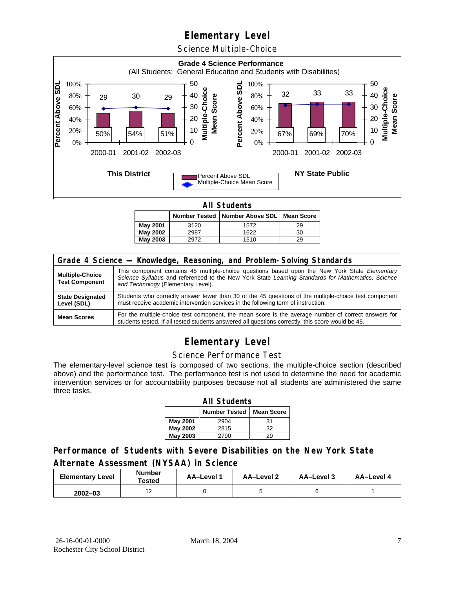Science Multiple-Choice



**All Students** 

|                 |      | Number Tested   Number Above SDL   Mean Score |    |  |  |  |  |
|-----------------|------|-----------------------------------------------|----|--|--|--|--|
| May 2001        | 3120 | 1572                                          | 29 |  |  |  |  |
| <b>May 2002</b> | 2987 | 1622                                          | 30 |  |  |  |  |
| May 2003        | 2972 | 1510                                          | 29 |  |  |  |  |

| Grade 4 Science - Knowledge, Reasoning, and Problem-Solving Standards |                                                                                                                                                                                                                                          |  |  |  |  |
|-----------------------------------------------------------------------|------------------------------------------------------------------------------------------------------------------------------------------------------------------------------------------------------------------------------------------|--|--|--|--|
| <b>Multiple-Choice</b><br><b>Test Component</b>                       | This component contains 45 multiple-choice questions based upon the New York State Elementary<br>Science Syllabus and referenced to the New York State Learning Standards for Mathematics, Science<br>and Technology (Elementary Level). |  |  |  |  |
| <b>State Designated</b><br>Level (SDL)                                | Students who correctly answer fewer than 30 of the 45 questions of the multiple-choice test component<br>must receive academic intervention services in the following term of instruction.                                               |  |  |  |  |
| <b>Mean Scores</b>                                                    | For the multiple-choice test component, the mean score is the average number of correct answers for<br>students tested. If all tested students answered all questions correctly, this score would be 45.                                 |  |  |  |  |

# **Elementary Level**

#### Science Performance Test

The elementary-level science test is composed of two sections, the multiple-choice section (described above) and the performance test. The performance test is not used to determine the need for academic intervention services or for accountability purposes because not all students are administered the same three tasks.

| <b>All Students</b>                       |      |    |  |  |  |  |  |
|-------------------------------------------|------|----|--|--|--|--|--|
| <b>Number Tested</b><br><b>Mean Score</b> |      |    |  |  |  |  |  |
| May 2001                                  | 2904 | 31 |  |  |  |  |  |
| May 2002                                  | 2815 | 32 |  |  |  |  |  |
| <b>May 2003</b><br>29<br>2790             |      |    |  |  |  |  |  |

### **Performance of Students with Severe Disabilities on the New York State Alternate Assessment (NYSAA) in Science**

| <b>Elementary Level</b> | <b>Number</b><br>Tested | AA-Level | AA-Level 2 | AA-Level 3 | AA-Level 4 |
|-------------------------|-------------------------|----------|------------|------------|------------|
| $2002 - 03$             |                         |          |            |            |            |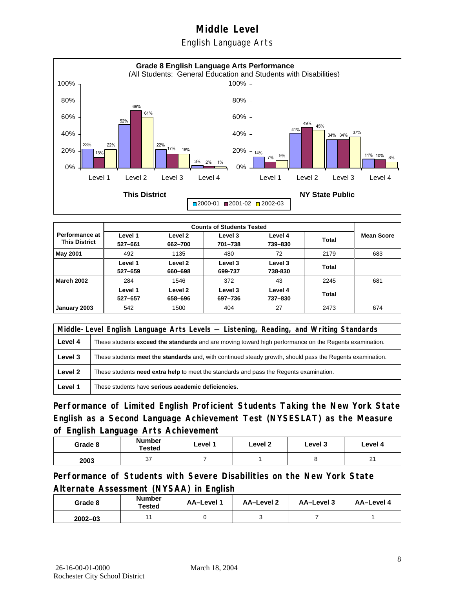English Language Arts



|                                          |                    | <b>Counts of Students Tested</b> |                    |                    |       |                   |  |  |
|------------------------------------------|--------------------|----------------------------------|--------------------|--------------------|-------|-------------------|--|--|
| Performance at I<br><b>This District</b> | Level 1<br>527-661 | Level 2<br>662-700               | Level 3<br>701-738 | Level 4<br>739-830 | Total | <b>Mean Score</b> |  |  |
| <b>May 2001</b>                          | 492                | 1135                             | 480                | 72                 | 2179  | 683               |  |  |
|                                          | Level 1<br>527-659 | Level 2<br>660-698               | Level 3<br>699-737 | Level 3<br>738-830 | Total |                   |  |  |
| <b>March 2002</b>                        | 284                | 1546                             | 372                | 43                 | 2245  | 681               |  |  |
|                                          | Level 1<br>527-657 | Level 2<br>658-696               | Level 3<br>697-736 | Level 4<br>737-830 | Total |                   |  |  |
| January 2003                             | 542                | 1500                             | 404                | 27                 | 2473  | 674               |  |  |

|         | Middle-Level English Language Arts Levels — Listening, Reading, and Writing Standards                         |  |  |  |  |
|---------|---------------------------------------------------------------------------------------------------------------|--|--|--|--|
| Level 4 | These students <b>exceed the standards</b> and are moving toward high performance on the Regents examination. |  |  |  |  |
| Level 3 | These students meet the standards and, with continued steady growth, should pass the Regents examination.     |  |  |  |  |
| Level 2 | These students need extra help to meet the standards and pass the Regents examination.                        |  |  |  |  |
| Level 1 | These students have serious academic deficiencies.                                                            |  |  |  |  |

**Performance of Limited English Proficient Students Taking the New York State English as a Second Language Achievement Test (NYSESLAT) as the Measure of English Language Arts Achievement**

| Grade 8 | <b>Number</b><br>Tested | Level 1 | Level 2 | Level 3 | Level 4     |
|---------|-------------------------|---------|---------|---------|-------------|
| 2003    | 37                      |         |         |         | $\sim$<br>▵ |

**Performance of Students with Severe Disabilities on the New York State Alternate Assessment (NYSAA) in English** 

| Grade 8     | <b>Number</b><br>Tested | AA-Level 1 | AA-Level 2 | AA-Level 3 | AA-Level 4 |
|-------------|-------------------------|------------|------------|------------|------------|
| $2002 - 03$ |                         |            |            |            |            |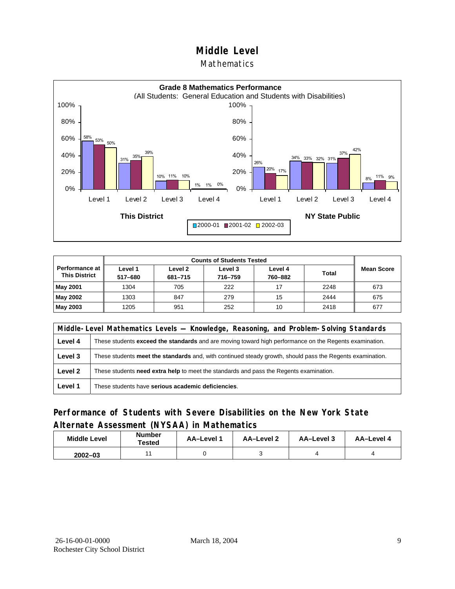#### Mathematics



| Performance at I<br><b>This District</b> | Level 1<br>517-680 | Level 2<br>681-715 | Level 3<br>716-759 | Level 4<br>760-882 | <b>Total</b> | <b>Mean Score</b> |
|------------------------------------------|--------------------|--------------------|--------------------|--------------------|--------------|-------------------|
| May 2001                                 | 1304               | 705                | 222                | 17                 | 2248         | 673               |
| May 2002                                 | 1303               | 847                | 279                | 15                 | 2444         | 675               |
| May 2003                                 | 1205               | 951                | 252                | 10                 | 2418         | 677               |

|         | Middle-Level Mathematics Levels — Knowledge, Reasoning, and Problem-Solving Standards                     |  |  |  |  |
|---------|-----------------------------------------------------------------------------------------------------------|--|--|--|--|
| Level 4 | These students exceed the standards and are moving toward high performance on the Regents examination.    |  |  |  |  |
| Level 3 | These students meet the standards and, with continued steady growth, should pass the Regents examination. |  |  |  |  |
| Level 2 | These students <b>need extra help</b> to meet the standards and pass the Regents examination.             |  |  |  |  |
| Level 1 | These students have serious academic deficiencies.                                                        |  |  |  |  |

### **Performance of Students with Severe Disabilities on the New York State Alternate Assessment (NYSAA) in Mathematics**

| <b>Middle Level</b> | <b>Number</b><br>Tested | AA-Level | AA-Level 2 | AA-Level 3 | AA-Level 4 |
|---------------------|-------------------------|----------|------------|------------|------------|
| $2002 - 03$         |                         |          |            |            |            |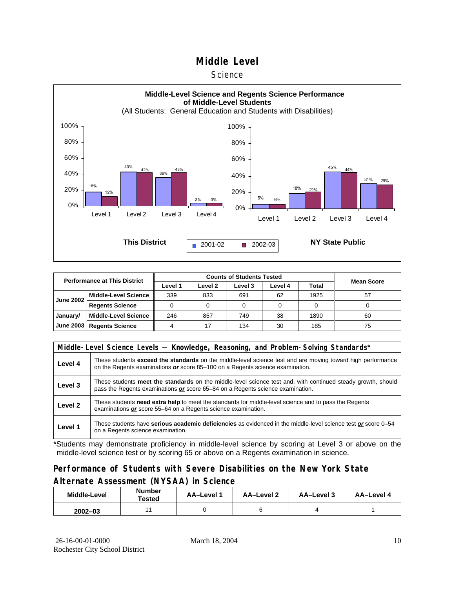#### **Science**



| <b>Performance at This District</b> |                             |         |         |         |         |       |                   |  |
|-------------------------------------|-----------------------------|---------|---------|---------|---------|-------|-------------------|--|
|                                     |                             | Level 1 | Level 2 | Level 3 | Level 4 | Total | <b>Mean Score</b> |  |
| <b>June 2002</b>                    | <b>Middle-Level Science</b> | 339     | 833     | 691     | 62      | 1925  | 57                |  |
|                                     | <b>Regents Science</b>      |         |         |         |         |       |                   |  |
| January/                            | <b>Middle-Level Science</b> | 246     | 857     | 749     | 38      | 1890  | 60                |  |
|                                     | June 2003   Regents Science |         |         | 134     | 30      | 185   | 75                |  |

|         | Middle-Level Science Levels — Knowledge, Reasoning, and Problem-Solving Standards*                                                                                                             |  |  |  |  |  |  |  |  |
|---------|------------------------------------------------------------------------------------------------------------------------------------------------------------------------------------------------|--|--|--|--|--|--|--|--|
| Level 4 | These students exceed the standards on the middle-level science test and are moving toward high performance<br>on the Regents examinations or score 85-100 on a Regents science examination.   |  |  |  |  |  |  |  |  |
| Level 3 | These students meet the standards on the middle-level science test and, with continued steady growth, should<br>pass the Regents examinations or score 65–84 on a Regents science examination. |  |  |  |  |  |  |  |  |
| Level 2 | These students need extra help to meet the standards for middle-level science and to pass the Regents<br>examinations or score 55-64 on a Regents science examination.                         |  |  |  |  |  |  |  |  |
| Level 1 | These students have serious academic deficiencies as evidenced in the middle-level science test or score 0–54<br>on a Regents science examination.                                             |  |  |  |  |  |  |  |  |

\*Students may demonstrate proficiency in middle-level science by scoring at Level 3 or above on the middle-level science test or by scoring 65 or above on a Regents examination in science.

## **Performance of Students with Severe Disabilities on the New York State Alternate Assessment (NYSAA) in Science**

| Middle-Level | Number<br>Tested | AA-Level 1 | AA-Level 2 | AA-Level 3 | AA-Level 4 |  |
|--------------|------------------|------------|------------|------------|------------|--|
| $2002 - 03$  |                  |            |            |            |            |  |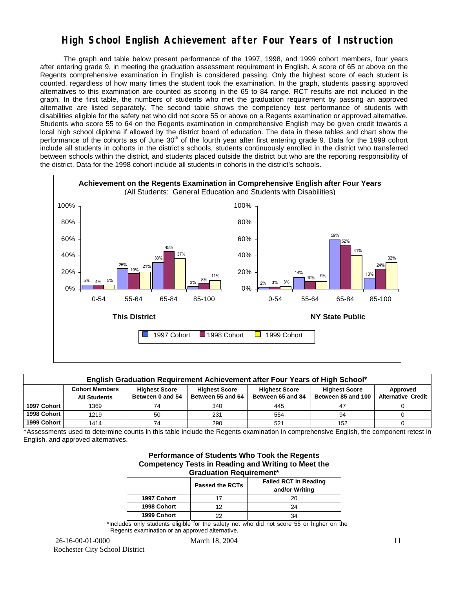## **High School English Achievement after Four Years of Instruction**

 The graph and table below present performance of the 1997, 1998, and 1999 cohort members, four years after entering grade 9, in meeting the graduation assessment requirement in English. A score of 65 or above on the Regents comprehensive examination in English is considered passing. Only the highest score of each student is counted, regardless of how many times the student took the examination. In the graph, students passing approved alternatives to this examination are counted as scoring in the 65 to 84 range. RCT results are not included in the graph. In the first table, the numbers of students who met the graduation requirement by passing an approved alternative are listed separately. The second table shows the competency test performance of students with disabilities eligible for the safety net who did not score 55 or above on a Regents examination or approved alternative. Students who score 55 to 64 on the Regents examination in comprehensive English may be given credit towards a local high school diploma if allowed by the district board of education. The data in these tables and chart show the performance of the cohorts as of June  $30<sup>th</sup>$  of the fourth year after first entering grade 9. Data for the 1999 cohort include all students in cohorts in the district's schools, students continuously enrolled in the district who transferred between schools within the district, and students placed outside the district but who are the reporting responsibility of the district. Data for the 1998 cohort include all students in cohorts in the district's schools.



|             | English Graduation Requirement Achievement after Four Years of High School*                                                                                                                                                                                               |    |     |     |     |  |  |  |  |  |  |  |
|-------------|---------------------------------------------------------------------------------------------------------------------------------------------------------------------------------------------------------------------------------------------------------------------------|----|-----|-----|-----|--|--|--|--|--|--|--|
|             | <b>Cohort Members</b><br>Approved<br><b>Highest Score</b><br><b>Highest Score</b><br><b>Highest Score</b><br><b>Highest Score</b><br>Between 55 and 64<br><b>Alternative Credit</b><br>Between 85 and 100<br>Between 0 and 54<br>Between 65 and 84<br><b>All Students</b> |    |     |     |     |  |  |  |  |  |  |  |
| 1997 Cohort | 1369                                                                                                                                                                                                                                                                      | 74 | 340 | 445 | 47  |  |  |  |  |  |  |  |
| 1998 Cohort | 1219                                                                                                                                                                                                                                                                      | 50 | 231 | 554 | 94  |  |  |  |  |  |  |  |
| 1999 Cohort | 1414                                                                                                                                                                                                                                                                      | 74 | 290 | 521 | 152 |  |  |  |  |  |  |  |

\*Assessments used to determine counts in this table include the Regents examination in comprehensive English, the component retest in English, and approved alternatives.

| Performance of Students Who Took the Regents<br><b>Competency Tests in Reading and Writing to Meet the</b><br><b>Graduation Requirement*</b> |    |    |  |  |  |  |  |  |
|----------------------------------------------------------------------------------------------------------------------------------------------|----|----|--|--|--|--|--|--|
| <b>Failed RCT in Reading</b><br><b>Passed the RCTs</b><br>and/or Writing                                                                     |    |    |  |  |  |  |  |  |
| 1997 Cohort                                                                                                                                  | 17 | 20 |  |  |  |  |  |  |
| 1998 Cohort                                                                                                                                  | 12 | 24 |  |  |  |  |  |  |
| 1999 Cohort                                                                                                                                  | 22 | 34 |  |  |  |  |  |  |

\*Includes only students eligible for the safety net who did not score 55 or higher on the Regents examination or an approved alternative.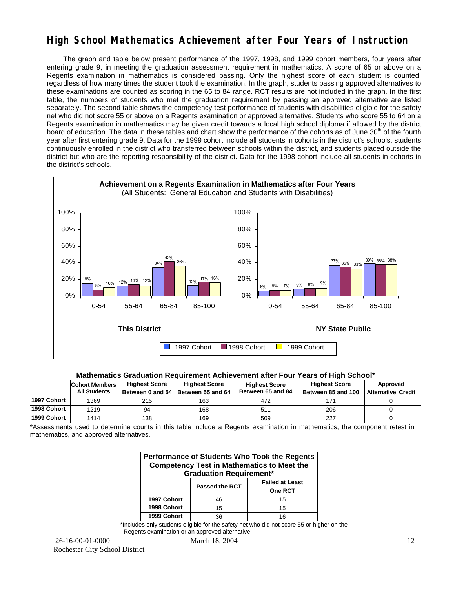## **High School Mathematics Achievement after Four Years of Instruction**

 The graph and table below present performance of the 1997, 1998, and 1999 cohort members, four years after entering grade 9, in meeting the graduation assessment requirement in mathematics. A score of 65 or above on a Regents examination in mathematics is considered passing. Only the highest score of each student is counted, regardless of how many times the student took the examination. In the graph, students passing approved alternatives to these examinations are counted as scoring in the 65 to 84 range. RCT results are not included in the graph. In the first table, the numbers of students who met the graduation requirement by passing an approved alternative are listed separately. The second table shows the competency test performance of students with disabilities eligible for the safety net who did not score 55 or above on a Regents examination or approved alternative. Students who score 55 to 64 on a Regents examination in mathematics may be given credit towards a local high school diploma if allowed by the district board of education. The data in these tables and chart show the performance of the cohorts as of June 30<sup>th</sup> of the fourth year after first entering grade 9. Data for the 1999 cohort include all students in cohorts in the district's schools, students continuously enrolled in the district who transferred between schools within the district, and students placed outside the district but who are the reporting responsibility of the district. Data for the 1998 cohort include all students in cohorts in the district's schools.



| Mathematics Graduation Requirement Achievement after Four Years of High School* |                       |                      |                      |                   |                    |                           |  |  |  |  |
|---------------------------------------------------------------------------------|-----------------------|----------------------|----------------------|-------------------|--------------------|---------------------------|--|--|--|--|
|                                                                                 | <b>Cohort Members</b> | <b>Highest Score</b> | <b>Highest Score</b> | Approved          |                    |                           |  |  |  |  |
|                                                                                 | <b>All Students</b>   | Between 0 and 54     | Between 55 and 64    | Between 65 and 84 | Between 85 and 100 | <b>Alternative Credit</b> |  |  |  |  |
| 1997 Cohort                                                                     | 1369                  | 215                  | 163                  | 472               | 171                |                           |  |  |  |  |
| 1998 Cohort                                                                     | 1219                  | 94                   | 168                  | 511               | 206                |                           |  |  |  |  |
| 1999 Cohort                                                                     | 1414                  | 138                  | 169                  | 509               | 227                |                           |  |  |  |  |

\*Assessments used to determine counts in this table include a Regents examination in mathematics, the component retest in mathematics, and approved alternatives.

| Performance of Students Who Took the Regents<br><b>Competency Test in Mathematics to Meet the</b><br><b>Graduation Requirement*</b> |                       |                                   |  |  |  |  |  |  |
|-------------------------------------------------------------------------------------------------------------------------------------|-----------------------|-----------------------------------|--|--|--|--|--|--|
|                                                                                                                                     | <b>Passed the RCT</b> | <b>Failed at Least</b><br>One RCT |  |  |  |  |  |  |
| 1997 Cohort                                                                                                                         | 46                    | 15                                |  |  |  |  |  |  |
| 1998 Cohort                                                                                                                         | 15                    | 15                                |  |  |  |  |  |  |
| 1999 Cohort                                                                                                                         | 36                    | 16                                |  |  |  |  |  |  |

\*Includes only students eligible for the safety net who did not score 55 or higher on the Regents examination or an approved alternative.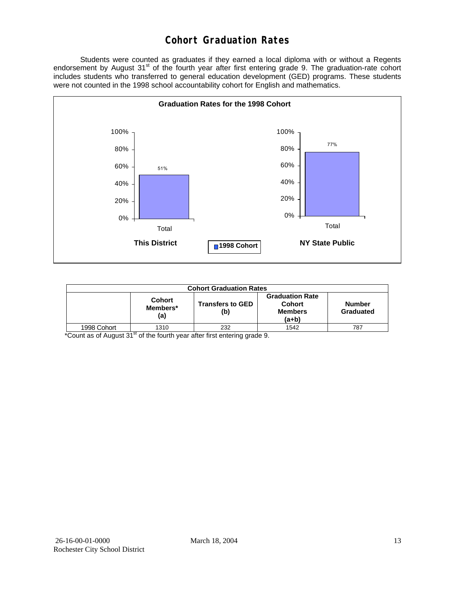## **Cohort Graduation Rates**

 Students were counted as graduates if they earned a local diploma with or without a Regents endorsement by August 31<sup>st</sup> of the fourth year after first entering grade 9. The graduation-rate cohort includes students who transferred to general education development (GED) programs. These students were not counted in the 1998 school accountability cohort for English and mathematics.



| <b>Cohort Graduation Rates</b> |                                  |                                |                                                                    |                     |  |  |  |  |  |
|--------------------------------|----------------------------------|--------------------------------|--------------------------------------------------------------------|---------------------|--|--|--|--|--|
|                                | <b>Cohort</b><br>Members*<br>(a) | <b>Transfers to GED</b><br>(b) | <b>Graduation Rate</b><br><b>Cohort</b><br><b>Members</b><br>(a+b) | Number<br>Graduated |  |  |  |  |  |
| 1998 Cohort                    | 1310<br>--                       | 232                            | 1542                                                               | 787                 |  |  |  |  |  |

 $*$ Count as of August 31 $<sup>st</sup>$  of the fourth year after first entering grade 9.</sup>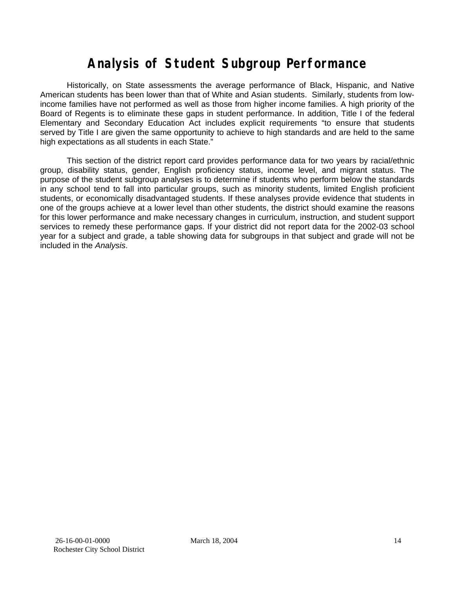# **Analysis of Student Subgroup Performance**

Historically, on State assessments the average performance of Black, Hispanic, and Native American students has been lower than that of White and Asian students. Similarly, students from lowincome families have not performed as well as those from higher income families. A high priority of the Board of Regents is to eliminate these gaps in student performance. In addition, Title I of the federal Elementary and Secondary Education Act includes explicit requirements "to ensure that students served by Title I are given the same opportunity to achieve to high standards and are held to the same high expectations as all students in each State."

This section of the district report card provides performance data for two years by racial/ethnic group, disability status, gender, English proficiency status, income level, and migrant status. The purpose of the student subgroup analyses is to determine if students who perform below the standards in any school tend to fall into particular groups, such as minority students, limited English proficient students, or economically disadvantaged students. If these analyses provide evidence that students in one of the groups achieve at a lower level than other students, the district should examine the reasons for this lower performance and make necessary changes in curriculum, instruction, and student support services to remedy these performance gaps. If your district did not report data for the 2002-03 school year for a subject and grade, a table showing data for subgroups in that subject and grade will not be included in the *Analysis*.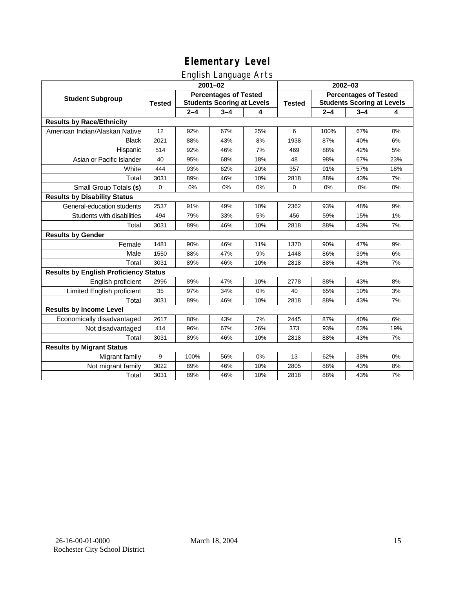## English Language Arts

|                                              | <u>gue a mangeege a re</u><br>$2001 - 02$ |                                                                   |         |     | $2002 - 03$   |                                                                   |         |      |
|----------------------------------------------|-------------------------------------------|-------------------------------------------------------------------|---------|-----|---------------|-------------------------------------------------------------------|---------|------|
| <b>Student Subgroup</b>                      | <b>Tested</b>                             | <b>Percentages of Tested</b><br><b>Students Scoring at Levels</b> |         |     | <b>Tested</b> | <b>Percentages of Tested</b><br><b>Students Scoring at Levels</b> |         |      |
|                                              |                                           | $2 - 4$                                                           | $3 - 4$ | 4   |               | $2 - 4$                                                           | $3 - 4$ | 4    |
| <b>Results by Race/Ethnicity</b>             |                                           |                                                                   |         |     |               |                                                                   |         |      |
| American Indian/Alaskan Native               | 12                                        | 92%                                                               | 67%     | 25% | 6             | 100%                                                              | 67%     | 0%   |
| <b>Black</b>                                 | 2021                                      | 88%                                                               | 43%     | 8%  | 1938          | 87%                                                               | 40%     | 6%   |
| Hispanic                                     | 514                                       | 92%                                                               | 46%     | 7%  | 469           | 88%                                                               | 42%     | 5%   |
| Asian or Pacific Islander                    | 40                                        | 95%                                                               | 68%     | 18% | 48            | 98%                                                               | 67%     | 23%  |
| White                                        | 444                                       | 93%                                                               | 62%     | 20% | 357           | 91%                                                               | 57%     | 18%  |
| Total                                        | 3031                                      | 89%                                                               | 46%     | 10% | 2818          | 88%                                                               | 43%     | 7%   |
| Small Group Totals (s)                       | $\mathbf 0$                               | 0%                                                                | 0%      | 0%  | $\mathbf 0$   | 0%                                                                | 0%      | 0%   |
| <b>Results by Disability Status</b>          |                                           |                                                                   |         |     |               |                                                                   |         |      |
| General-education students                   | 2537                                      | 91%                                                               | 49%     | 10% | 2362          | 93%                                                               | 48%     | 9%   |
| Students with disabilities                   | 494                                       | 79%                                                               | 33%     | 5%  | 456           | 59%                                                               | 15%     | 1%   |
| Total                                        | 3031                                      | 89%                                                               | 46%     | 10% | 2818          | 88%                                                               | 43%     | 7%   |
| <b>Results by Gender</b>                     |                                           |                                                                   |         |     |               |                                                                   |         |      |
| Female                                       | 1481                                      | 90%                                                               | 46%     | 11% | 1370          | 90%                                                               | 47%     | 9%   |
| Male                                         | 1550                                      | 88%                                                               | 47%     | 9%  | 1448          | 86%                                                               | 39%     | 6%   |
| Total                                        | 3031                                      | 89%                                                               | 46%     | 10% | 2818          | 88%                                                               | 43%     | 7%   |
| <b>Results by English Proficiency Status</b> |                                           |                                                                   |         |     |               |                                                                   |         |      |
| English proficient                           | 2996                                      | 89%                                                               | 47%     | 10% | 2778          | 88%                                                               | 43%     | 8%   |
| Limited English proficient                   | 35                                        | 97%                                                               | 34%     | 0%  | 40            | 65%                                                               | 10%     | 3%   |
| Total                                        | 3031                                      | 89%                                                               | 46%     | 10% | 2818          | 88%                                                               | 43%     | 7%   |
| <b>Results by Income Level</b>               |                                           |                                                                   |         |     |               |                                                                   |         |      |
| Economically disadvantaged                   | 2617                                      | 88%                                                               | 43%     | 7%  | 2445          | 87%                                                               | 40%     | 6%   |
| Not disadvantaged                            | 414                                       | 96%                                                               | 67%     | 26% | 373           | 93%                                                               | 63%     | 19%  |
| Total                                        | 3031                                      | 89%                                                               | 46%     | 10% | 2818          | 88%                                                               | 43%     | 7%   |
| <b>Results by Migrant Status</b>             |                                           |                                                                   |         |     |               |                                                                   |         |      |
| Migrant family                               | 9                                         | 100%                                                              | 56%     | 0%  | 13            | 62%                                                               | 38%     | 0%   |
| Not migrant family                           | 3022                                      | 89%                                                               | 46%     | 10% | 2805          | 88%                                                               | 43%     | $8%$ |
| Total                                        | 3031                                      | 89%                                                               | 46%     | 10% | 2818          | 88%                                                               | 43%     | 7%   |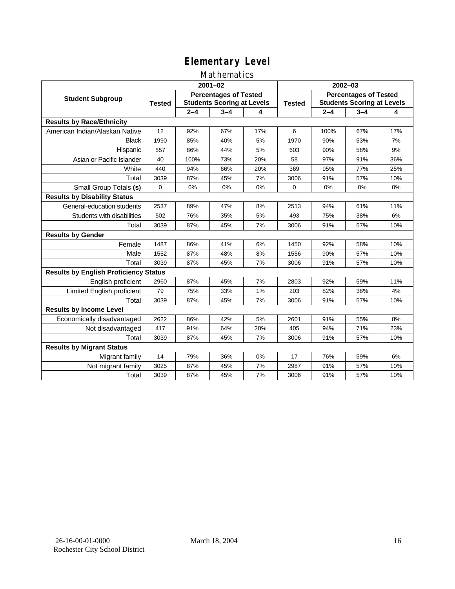### Mathematics

|                                              |                                                                                    |         | $2001 - 02$ |               | 2002-03                                                           |         |         |     |
|----------------------------------------------|------------------------------------------------------------------------------------|---------|-------------|---------------|-------------------------------------------------------------------|---------|---------|-----|
| <b>Student Subgroup</b>                      | <b>Percentages of Tested</b><br><b>Students Scoring at Levels</b><br><b>Tested</b> |         |             | <b>Tested</b> | <b>Percentages of Tested</b><br><b>Students Scoring at Levels</b> |         |         |     |
|                                              |                                                                                    | $2 - 4$ | $3 - 4$     | 4             |                                                                   | $2 - 4$ | $3 - 4$ | 4   |
| <b>Results by Race/Ethnicity</b>             |                                                                                    |         |             |               |                                                                   |         |         |     |
| American Indian/Alaskan Native               | 12                                                                                 | 92%     | 67%         | 17%           | 6                                                                 | 100%    | 67%     | 17% |
| <b>Black</b>                                 | 1990                                                                               | 85%     | 40%         | 5%            | 1970                                                              | 90%     | 53%     | 7%  |
| Hispanic                                     | 557                                                                                | 86%     | 44%         | 5%            | 603                                                               | 90%     | 58%     | 9%  |
| Asian or Pacific Islander                    | 40                                                                                 | 100%    | 73%         | 20%           | 58                                                                | 97%     | 91%     | 36% |
| White                                        | 440                                                                                | 94%     | 66%         | 20%           | 369                                                               | 95%     | 77%     | 25% |
| Total                                        | 3039                                                                               | 87%     | 45%         | 7%            | 3006                                                              | 91%     | 57%     | 10% |
| Small Group Totals (s)                       | $\mathbf 0$                                                                        | 0%      | 0%          | 0%            | 0                                                                 | 0%      | 0%      | 0%  |
| <b>Results by Disability Status</b>          |                                                                                    |         |             |               |                                                                   |         |         |     |
| General-education students                   | 2537                                                                               | 89%     | 47%         | 8%            | 2513                                                              | 94%     | 61%     | 11% |
| Students with disabilities                   | 502                                                                                | 76%     | 35%         | 5%            | 493                                                               | 75%     | 38%     | 6%  |
| Total                                        | 3039                                                                               | 87%     | 45%         | 7%            | 3006                                                              | 91%     | 57%     | 10% |
| <b>Results by Gender</b>                     |                                                                                    |         |             |               |                                                                   |         |         |     |
| Female                                       | 1487                                                                               | 86%     | 41%         | 6%            | 1450                                                              | 92%     | 58%     | 10% |
| Male                                         | 1552                                                                               | 87%     | 48%         | 8%            | 1556                                                              | 90%     | 57%     | 10% |
| Total                                        | 3039                                                                               | 87%     | 45%         | 7%            | 3006                                                              | 91%     | 57%     | 10% |
| <b>Results by English Proficiency Status</b> |                                                                                    |         |             |               |                                                                   |         |         |     |
| English proficient                           | 2960                                                                               | 87%     | 45%         | 7%            | 2803                                                              | 92%     | 59%     | 11% |
| Limited English proficient                   | 79                                                                                 | 75%     | 33%         | 1%            | 203                                                               | 82%     | 38%     | 4%  |
| Total                                        | 3039                                                                               | 87%     | 45%         | 7%            | 3006                                                              | 91%     | 57%     | 10% |
| <b>Results by Income Level</b>               |                                                                                    |         |             |               |                                                                   |         |         |     |
| Economically disadvantaged                   | 2622                                                                               | 86%     | 42%         | 5%            | 2601                                                              | 91%     | 55%     | 8%  |
| Not disadvantaged                            | 417                                                                                | 91%     | 64%         | 20%           | 405                                                               | 94%     | 71%     | 23% |
| Total                                        | 3039                                                                               | 87%     | 45%         | 7%            | 3006                                                              | 91%     | 57%     | 10% |
| <b>Results by Migrant Status</b>             |                                                                                    |         |             |               |                                                                   |         |         |     |
| Migrant family                               | 14                                                                                 | 79%     | 36%         | 0%            | 17                                                                | 76%     | 59%     | 6%  |
| Not migrant family                           | 3025                                                                               | 87%     | 45%         | 7%            | 2987                                                              | 91%     | 57%     | 10% |
| Total                                        | 3039                                                                               | 87%     | 45%         | 7%            | 3006                                                              | 91%     | 57%     | 10% |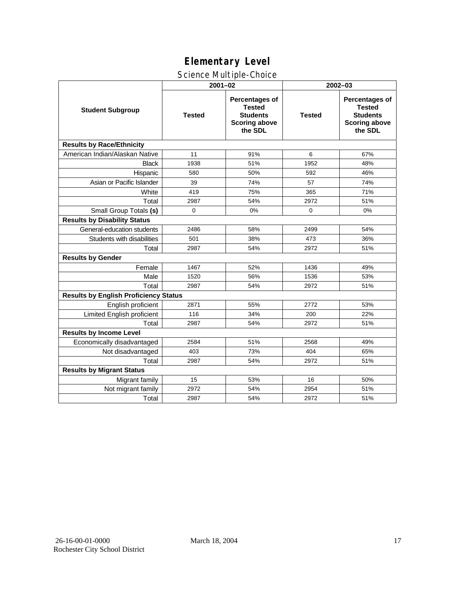### Science Multiple-Choice

|                                              |               | $2001 - 02$                                                                           | $2002 - 03$   |                                                                                              |  |  |
|----------------------------------------------|---------------|---------------------------------------------------------------------------------------|---------------|----------------------------------------------------------------------------------------------|--|--|
| <b>Student Subgroup</b>                      | <b>Tested</b> | Percentages of<br><b>Tested</b><br><b>Students</b><br><b>Scoring above</b><br>the SDL | <b>Tested</b> | <b>Percentages of</b><br><b>Tested</b><br><b>Students</b><br><b>Scoring above</b><br>the SDL |  |  |
| <b>Results by Race/Ethnicity</b>             |               |                                                                                       |               |                                                                                              |  |  |
| American Indian/Alaskan Native               | 11            | 91%                                                                                   | 6             | 67%                                                                                          |  |  |
| <b>Black</b>                                 | 1938          | 51%                                                                                   | 1952          | 48%                                                                                          |  |  |
| Hispanic                                     | 580           | 50%                                                                                   | 592           | 46%                                                                                          |  |  |
| Asian or Pacific Islander                    | 39            | 74%                                                                                   | 57            | 74%                                                                                          |  |  |
| White                                        | 419           | 75%                                                                                   | 365           | 71%                                                                                          |  |  |
| Total                                        | 2987          | 54%                                                                                   | 2972          | 51%                                                                                          |  |  |
| Small Group Totals (s)                       | $\mathbf 0$   | 0%                                                                                    | $\mathbf 0$   | 0%                                                                                           |  |  |
| <b>Results by Disability Status</b>          |               |                                                                                       |               |                                                                                              |  |  |
| General-education students                   | 2486          | 58%                                                                                   | 2499          | 54%                                                                                          |  |  |
| Students with disabilities                   | 501           | 38%                                                                                   | 473           | 36%                                                                                          |  |  |
| Total                                        | 2987          | 54%                                                                                   | 2972          | 51%                                                                                          |  |  |
| <b>Results by Gender</b>                     |               |                                                                                       |               |                                                                                              |  |  |
| Female                                       | 1467          | 52%                                                                                   | 1436          | 49%                                                                                          |  |  |
| Male                                         | 1520          | 56%                                                                                   | 1536          | 53%                                                                                          |  |  |
| Total                                        | 2987          | 54%                                                                                   | 2972          | 51%                                                                                          |  |  |
| <b>Results by English Proficiency Status</b> |               |                                                                                       |               |                                                                                              |  |  |
| English proficient                           | 2871          | 55%                                                                                   | 2772          | 53%                                                                                          |  |  |
| Limited English proficient                   | 116           | 34%                                                                                   | 200           | 22%                                                                                          |  |  |
| Total                                        | 2987          | 54%                                                                                   | 2972          | 51%                                                                                          |  |  |
| <b>Results by Income Level</b>               |               |                                                                                       |               |                                                                                              |  |  |
| Economically disadvantaged                   | 2584          | 51%                                                                                   | 2568          | 49%                                                                                          |  |  |
| Not disadvantaged                            | 403           | 73%                                                                                   | 404           | 65%                                                                                          |  |  |
| Total                                        | 2987          | 54%                                                                                   | 2972          | 51%                                                                                          |  |  |
| <b>Results by Migrant Status</b>             |               |                                                                                       |               |                                                                                              |  |  |
| Migrant family                               | 15            | 53%                                                                                   | 16            | 50%                                                                                          |  |  |
| Not migrant family                           | 2972          | 54%                                                                                   | 2954          | 51%                                                                                          |  |  |
| Total                                        | 2987          | 54%                                                                                   | 2972          | 51%                                                                                          |  |  |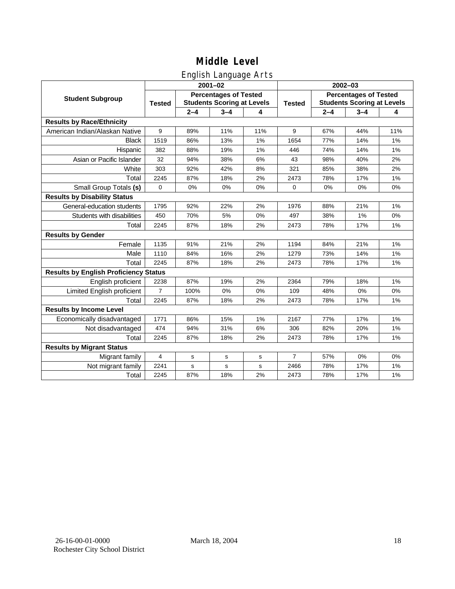## English Language Arts

|                                              | ັ<br>$2001 - 02$                                                                   |         |              |               | 2002-03                                                           |         |         |     |
|----------------------------------------------|------------------------------------------------------------------------------------|---------|--------------|---------------|-------------------------------------------------------------------|---------|---------|-----|
| <b>Student Subgroup</b>                      | <b>Percentages of Tested</b><br><b>Students Scoring at Levels</b><br><b>Tested</b> |         |              | <b>Tested</b> | <b>Percentages of Tested</b><br><b>Students Scoring at Levels</b> |         |         |     |
|                                              |                                                                                    | $2 - 4$ | $3 - 4$      | 4             |                                                                   | $2 - 4$ | $3 - 4$ | 4   |
| <b>Results by Race/Ethnicity</b>             |                                                                                    |         |              |               |                                                                   |         |         |     |
| American Indian/Alaskan Native               | 9                                                                                  | 89%     | 11%          | 11%           | 9                                                                 | 67%     | 44%     | 11% |
| <b>Black</b>                                 | 1519                                                                               | 86%     | 13%          | 1%            | 1654                                                              | 77%     | 14%     | 1%  |
| Hispanic                                     | 382                                                                                | 88%     | 19%          | 1%            | 446                                                               | 74%     | 14%     | 1%  |
| Asian or Pacific Islander                    | 32                                                                                 | 94%     | 38%          | 6%            | 43                                                                | 98%     | 40%     | 2%  |
| White                                        | 303                                                                                | 92%     | 42%          | 8%            | 321                                                               | 85%     | 38%     | 2%  |
| Total                                        | 2245                                                                               | 87%     | 18%          | 2%            | 2473                                                              | 78%     | 17%     | 1%  |
| Small Group Totals (s)                       | $\mathbf 0$                                                                        | 0%      | 0%           | 0%            | 0                                                                 | 0%      | 0%      | 0%  |
| <b>Results by Disability Status</b>          |                                                                                    |         |              |               |                                                                   |         |         |     |
| General-education students                   | 1795                                                                               | 92%     | 22%          | 2%            | 1976                                                              | 88%     | 21%     | 1%  |
| Students with disabilities                   | 450                                                                                | 70%     | 5%           | 0%            | 497                                                               | 38%     | 1%      | 0%  |
| Total                                        | 2245                                                                               | 87%     | 18%          | 2%            | 2473                                                              | 78%     | 17%     | 1%  |
| <b>Results by Gender</b>                     |                                                                                    |         |              |               |                                                                   |         |         |     |
| Female                                       | 1135                                                                               | 91%     | 21%          | 2%            | 1194                                                              | 84%     | 21%     | 1%  |
| Male                                         | 1110                                                                               | 84%     | 16%          | 2%            | 1279                                                              | 73%     | 14%     | 1%  |
| Total                                        | 2245                                                                               | 87%     | 18%          | 2%            | 2473                                                              | 78%     | 17%     | 1%  |
| <b>Results by English Proficiency Status</b> |                                                                                    |         |              |               |                                                                   |         |         |     |
| English proficient                           | 2238                                                                               | 87%     | 19%          | 2%            | 2364                                                              | 79%     | 18%     | 1%  |
| Limited English proficient                   | $\overline{7}$                                                                     | 100%    | 0%           | 0%            | 109                                                               | 48%     | 0%      | 0%  |
| Total                                        | 2245                                                                               | 87%     | 18%          | 2%            | 2473                                                              | 78%     | 17%     | 1%  |
| <b>Results by Income Level</b>               |                                                                                    |         |              |               |                                                                   |         |         |     |
| Economically disadvantaged                   | 1771                                                                               | 86%     | 15%          | 1%            | 2167                                                              | 77%     | 17%     | 1%  |
| Not disadvantaged                            | 474                                                                                | 94%     | 31%          | 6%            | 306                                                               | 82%     | 20%     | 1%  |
| Total                                        | 2245                                                                               | 87%     | 18%          | 2%            | 2473                                                              | 78%     | 17%     | 1%  |
| <b>Results by Migrant Status</b>             |                                                                                    |         |              |               |                                                                   |         |         |     |
| Migrant family                               | 4                                                                                  | s       | s            | s             | $\overline{7}$                                                    | 57%     | 0%      | 0%  |
| Not migrant family                           | 2241                                                                               | s       | $\mathsf{s}$ | s             | 2466                                                              | 78%     | 17%     | 1%  |
| Total                                        | 2245                                                                               | 87%     | 18%          | 2%            | 2473                                                              | 78%     | 17%     | 1%  |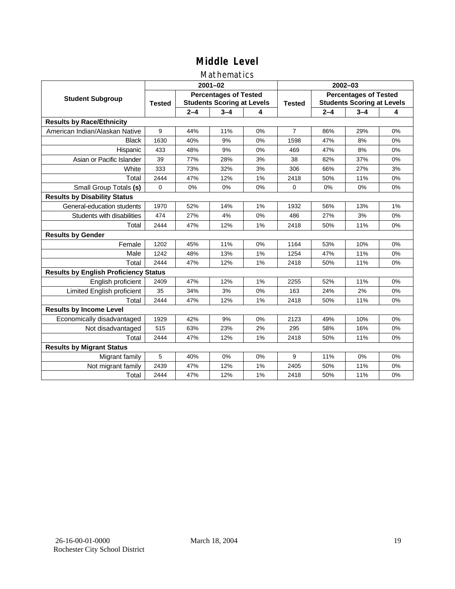### Mathematics

|                                              | $2001 - 02$   |                                                                   |         |    | $2002 - 03$    |                                                                   |         |    |
|----------------------------------------------|---------------|-------------------------------------------------------------------|---------|----|----------------|-------------------------------------------------------------------|---------|----|
| <b>Student Subgroup</b>                      | <b>Tested</b> | <b>Percentages of Tested</b><br><b>Students Scoring at Levels</b> |         |    | <b>Tested</b>  | <b>Percentages of Tested</b><br><b>Students Scoring at Levels</b> |         |    |
|                                              |               | $2 - 4$                                                           | $3 - 4$ | 4  |                | $2 - 4$                                                           | $3 - 4$ | 4  |
| <b>Results by Race/Ethnicity</b>             |               |                                                                   |         |    |                |                                                                   |         |    |
| American Indian/Alaskan Native               | 9             | 44%                                                               | 11%     | 0% | $\overline{7}$ | 86%                                                               | 29%     | 0% |
| <b>Black</b>                                 | 1630          | 40%                                                               | 9%      | 0% | 1598           | 47%                                                               | 8%      | 0% |
| Hispanic                                     | 433           | 48%                                                               | 9%      | 0% | 469            | 47%                                                               | 8%      | 0% |
| Asian or Pacific Islander                    | 39            | 77%                                                               | 28%     | 3% | 38             | 82%                                                               | 37%     | 0% |
| White                                        | 333           | 73%                                                               | 32%     | 3% | 306            | 66%                                                               | 27%     | 3% |
| Total                                        | 2444          | 47%                                                               | 12%     | 1% | 2418           | 50%                                                               | 11%     | 0% |
| Small Group Totals (s)                       | 0             | 0%                                                                | 0%      | 0% | $\Omega$       | 0%                                                                | 0%      | 0% |
| <b>Results by Disability Status</b>          |               |                                                                   |         |    |                |                                                                   |         |    |
| General-education students                   | 1970          | 52%                                                               | 14%     | 1% | 1932           | 56%                                                               | 13%     | 1% |
| Students with disabilities                   | 474           | 27%                                                               | 4%      | 0% | 486            | 27%                                                               | 3%      | 0% |
| Total                                        | 2444          | 47%                                                               | 12%     | 1% | 2418           | 50%                                                               | 11%     | 0% |
| <b>Results by Gender</b>                     |               |                                                                   |         |    |                |                                                                   |         |    |
| Female                                       | 1202          | 45%                                                               | 11%     | 0% | 1164           | 53%                                                               | 10%     | 0% |
| Male                                         | 1242          | 48%                                                               | 13%     | 1% | 1254           | 47%                                                               | 11%     | 0% |
| Total                                        | 2444          | 47%                                                               | 12%     | 1% | 2418           | 50%                                                               | 11%     | 0% |
| <b>Results by English Proficiency Status</b> |               |                                                                   |         |    |                |                                                                   |         |    |
| English proficient                           | 2409          | 47%                                                               | 12%     | 1% | 2255           | 52%                                                               | 11%     | 0% |
| Limited English proficient                   | 35            | 34%                                                               | 3%      | 0% | 163            | 24%                                                               | 2%      | 0% |
| Total                                        | 2444          | 47%                                                               | 12%     | 1% | 2418           | 50%                                                               | 11%     | 0% |
| <b>Results by Income Level</b>               |               |                                                                   |         |    |                |                                                                   |         |    |
| Economically disadvantaged                   | 1929          | 42%                                                               | 9%      | 0% | 2123           | 49%                                                               | 10%     | 0% |
| Not disadvantaged                            | 515           | 63%                                                               | 23%     | 2% | 295            | 58%                                                               | 16%     | 0% |
| Total                                        | 2444          | 47%                                                               | 12%     | 1% | 2418           | 50%                                                               | 11%     | 0% |
| <b>Results by Migrant Status</b>             |               |                                                                   |         |    |                |                                                                   |         |    |
| Migrant family                               | 5             | 40%                                                               | 0%      | 0% | 9              | 11%                                                               | 0%      | 0% |
| Not migrant family                           | 2439          | 47%                                                               | 12%     | 1% | 2405           | 50%                                                               | 11%     | 0% |
| Total                                        | 2444          | 47%                                                               | 12%     | 1% | 2418           | 50%                                                               | 11%     | 0% |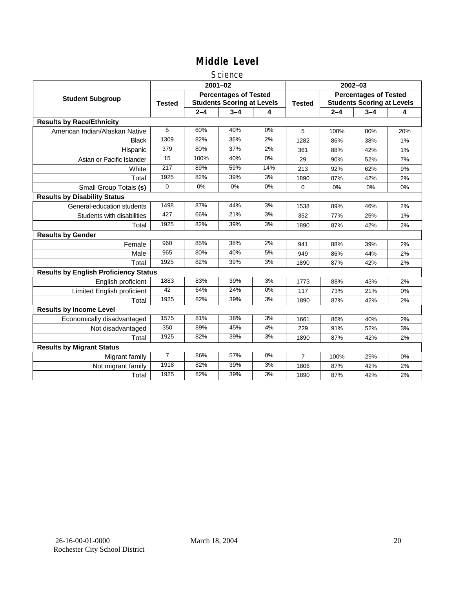#### Science

|                                              |                  |         | $2001 - 02$                                                       |       | $2002 - 03$   |                                                                   |         |     |
|----------------------------------------------|------------------|---------|-------------------------------------------------------------------|-------|---------------|-------------------------------------------------------------------|---------|-----|
| <b>Student Subgroup</b>                      | <b>Tested</b>    |         | <b>Percentages of Tested</b><br><b>Students Scoring at Levels</b> |       | <b>Tested</b> | <b>Percentages of Tested</b><br><b>Students Scoring at Levels</b> |         |     |
|                                              |                  | $2 - 4$ | $3 - 4$                                                           | 4     |               | $2 - 4$                                                           | $3 - 4$ | 4   |
| <b>Results by Race/Ethnicity</b>             |                  |         |                                                                   |       |               |                                                                   |         |     |
| American Indian/Alaskan Native               | 5                | 60%     | 40%                                                               | 0%    | 5             | 100%                                                              | 80%     | 20% |
| <b>Black</b>                                 | 1309             | 82%     | 36%                                                               | 2%    | 1282          | 86%                                                               | 38%     | 1%  |
| Hispanic                                     | 379              | 80%     | 37%                                                               | 2%    | 361           | 88%                                                               | 42%     | 1%  |
| Asian or Pacific Islander                    | $\overline{15}$  | 100%    | 40%                                                               | $0\%$ | 29            | 90%                                                               | 52%     | 7%  |
| White                                        | $\overline{217}$ | 89%     | 59%                                                               | 14%   | 213           | 92%                                                               | 62%     | 9%  |
| Total                                        | 1925             | 82%     | 39%                                                               | 3%    | 1890          | 87%                                                               | 42%     | 2%  |
| Small Group Totals (s)                       | 0                | 0%      | 0%                                                                | 0%    | 0             | 0%                                                                | 0%      | 0%  |
| <b>Results by Disability Status</b>          |                  |         |                                                                   |       |               |                                                                   |         |     |
| General-education students                   | 1498             | 87%     | 44%                                                               | 3%    | 1538          | 89%                                                               | 46%     | 2%  |
| Students with disabilities                   | 427              | 66%     | 21%                                                               | 3%    | 352           | 77%                                                               | 25%     | 1%  |
| Total                                        | 1925             | 82%     | 39%                                                               | 3%    | 1890          | 87%                                                               | 42%     | 2%  |
| <b>Results by Gender</b>                     |                  |         |                                                                   |       |               |                                                                   |         |     |
| Female                                       | 960              | 85%     | 38%                                                               | 2%    | 941           | 88%                                                               | 39%     | 2%  |
| Male                                         | 965              | 80%     | 40%                                                               | 5%    | 949           | 86%                                                               | 44%     | 2%  |
| Total                                        | 1925             | 82%     | 39%                                                               | 3%    | 1890          | 87%                                                               | 42%     | 2%  |
| <b>Results by English Proficiency Status</b> |                  |         |                                                                   |       |               |                                                                   |         |     |
| English proficient                           | 1883             | 83%     | 39%                                                               | 3%    | 1773          | 88%                                                               | 43%     | 2%  |
| <b>Limited English proficient</b>            | $\overline{42}$  | 64%     | 24%                                                               | $0\%$ | 117           | 73%                                                               | 21%     | 0%  |
| Total                                        | 1925             | 82%     | 39%                                                               | 3%    | 1890          | 87%                                                               | 42%     | 2%  |
| <b>Results by Income Level</b>               |                  |         |                                                                   |       |               |                                                                   |         |     |
| Economically disadvantaged                   | 1575             | 81%     | 38%                                                               | 3%    | 1661          | 86%                                                               | 40%     | 2%  |
| Not disadvantaged                            | 350              | 89%     | 45%                                                               | 4%    | 229           | 91%                                                               | 52%     | 3%  |
| Total                                        | 1925             | 82%     | 39%                                                               | 3%    | 1890          | 87%                                                               | 42%     | 2%  |
| <b>Results by Migrant Status</b>             |                  |         |                                                                   |       |               |                                                                   |         |     |
| Migrant family                               | $\overline{7}$   | 86%     | 57%                                                               | 0%    | 7             | 100%                                                              | 29%     | 0%  |
| Not migrant family                           | 1918             | 82%     | 39%                                                               | 3%    | 1806          | 87%                                                               | 42%     | 2%  |
| Total                                        | 1925             | 82%     | 39%                                                               | 3%    | 1890          | 87%                                                               | 42%     | 2%  |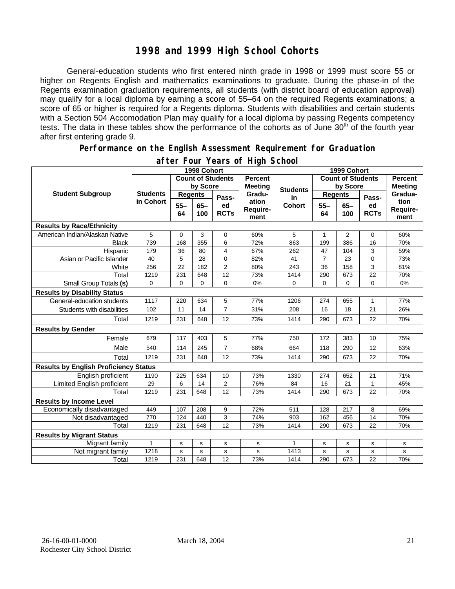## **1998 and 1999 High School Cohorts**

General-education students who first entered ninth grade in 1998 or 1999 must score 55 or higher on Regents English and mathematics examinations to graduate. During the phase-in of the Regents examination graduation requirements, all students (with district board of education approval) may qualify for a local diploma by earning a score of 55–64 on the required Regents examinations; a score of 65 or higher is required for a Regents diploma. Students with disabilities and certain students with a Section 504 Accomodation Plan may qualify for a local diploma by passing Regents competency tests. The data in these tables show the performance of the cohorts as of June 30<sup>th</sup> of the fourth year after first entering grade 9.

#### **Performance on the English Assessment Requirement for Graduation**

|                                              | 1998 Cohort                  |                |              |                   |                                  | 1999 Cohort   |                          |                |                                  |                          |
|----------------------------------------------|------------------------------|----------------|--------------|-------------------|----------------------------------|---------------|--------------------------|----------------|----------------------------------|--------------------------|
|                                              | <b>Count of Students</b>     |                |              |                   | <b>Percent</b><br><b>Meeting</b> |               | <b>Count of Students</b> |                | <b>Percent</b><br><b>Meeting</b> |                          |
| <b>Student Subgroup</b>                      | <b>Students</b><br>in Cohort | by Score       |              | <b>Students</b>   |                                  | by Score      |                          |                |                                  |                          |
|                                              |                              | <b>Regents</b> |              | Pass-             | Gradu-                           | in            | <b>Regents</b>           |                | Pass-                            | Gradua-                  |
|                                              |                              | $55 -$<br>64   | $65-$<br>100 | ed<br><b>RCTs</b> | ation<br>Require-<br>ment        | <b>Cohort</b> | $55 -$<br>64             | $65 -$<br>100  | ed<br><b>RCTs</b>                | tion<br>Require-<br>ment |
| <b>Results by Race/Ethnicity</b>             |                              |                |              |                   |                                  |               |                          |                |                                  |                          |
| American Indian/Alaskan Native               | 5                            | 0              | 3            | $\mathbf 0$       | 60%                              | 5             | 1                        | $\overline{2}$ | $\mathbf 0$                      | 60%                      |
| <b>Black</b>                                 | 739                          | 168            | 355          | 6                 | 72%                              | 863           | 199                      | 386            | 16                               | 70%                      |
| Hispanic                                     | 179                          | 36             | 80           | $\overline{4}$    | 67%                              | 262           | 47                       | 104            | 3                                | 59%                      |
| Asian or Pacific Islander                    | 40                           | 5              | 28           | $\Omega$          | 82%                              | 41            | $\overline{7}$           | 23             | $\mathbf 0$                      | 73%                      |
| White                                        | 256                          | 22             | 182          | $\overline{2}$    | 80%                              | 243           | 36                       | 158            | 3                                | 81%                      |
| Total                                        | 1219                         | 231            | 648          | 12                | 73%                              | 1414          | 290                      | 673            | 22                               | 70%                      |
| Small Group Totals (s)                       | $\mathbf 0$                  | 0              | $\Omega$     | $\Omega$          | 0%                               | 0             | $\Omega$                 | 0              | $\Omega$                         | 0%                       |
| <b>Results by Disability Status</b>          |                              |                |              |                   |                                  |               |                          |                |                                  |                          |
| General-education students                   | 1117                         | 220            | 634          | 5                 | 77%                              | 1206          | 274                      | 655            | 1                                | 77%                      |
| Students with disabilities                   | 102                          | 11             | 14           | $\overline{7}$    | 31%                              | 208           | 16                       | 18             | 21                               | 26%                      |
| Total                                        | 1219                         | 231            | 648          | 12                | 73%                              | 1414          | 290                      | 673            | 22                               | 70%                      |
| <b>Results by Gender</b>                     |                              |                |              |                   |                                  |               |                          |                |                                  |                          |
| Female                                       | 679                          | 117            | 403          | 5                 | 77%                              | 750           | 172                      | 383            | 10                               | 75%                      |
| Male                                         | 540                          | 114            | 245          | $\overline{7}$    | 68%                              | 664           | 118                      | 290            | 12                               | 63%                      |
| Total                                        | 1219                         | 231            | 648          | 12                | 73%                              | 1414          | 290                      | 673            | 22                               | 70%                      |
| <b>Results by English Proficiency Status</b> |                              |                |              |                   |                                  |               |                          |                |                                  |                          |
| English proficient                           | 1190                         | 225            | 634          | 10                | 73%                              | 1330          | 274                      | 652            | 21                               | 71%                      |
| Limited English proficient                   | 29                           | 6              | 14           | 2                 | 76%                              | 84            | 16                       | 21             | $\mathbf{1}$                     | 45%                      |
| Total                                        | 1219                         | 231            | 648          | 12                | 73%                              | 1414          | 290                      | 673            | 22                               | 70%                      |
| <b>Results by Income Level</b>               |                              |                |              |                   |                                  |               |                          |                |                                  |                          |
| Economically disadvantaged                   | 449                          | 107            | 208          | 9                 | 72%                              | 511           | 128                      | 217            | 8                                | 69%                      |
| Not disadvantaged                            | 770                          | 124            | 440          | 3                 | 74%                              | 903           | 162                      | 456            | 14                               | 70%                      |
| Total                                        | 1219                         | 231            | 648          | 12                | 73%                              | 1414          | 290                      | 673            | 22                               | 70%                      |
| <b>Results by Migrant Status</b>             |                              |                |              |                   |                                  |               |                          |                |                                  |                          |
| Migrant family                               | $\mathbf{1}$                 | s              | s            | s                 | s                                | 1             | s                        | s              | s                                | s                        |
| Not migrant family                           | 1218                         | s              | $\mathbf s$  | $\mathbf s$       | $\mathbf s$                      | 1413          | s                        | s              | s                                | s                        |
| Total                                        | 1219                         | 231            | 648          | 12                | 73%                              | 1414          | 290                      | 673            | 22                               | 70%                      |

#### **after Four Years of High School**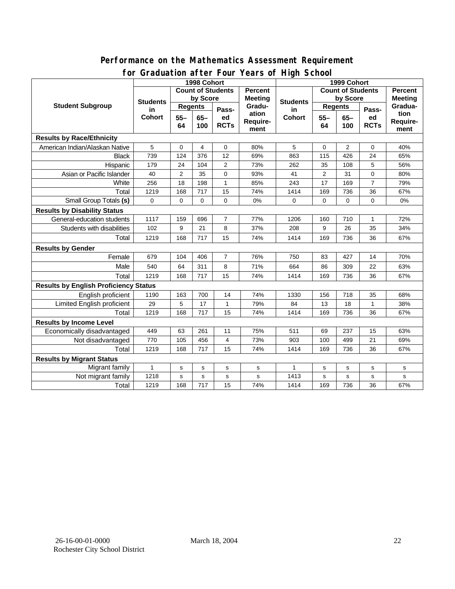| TUI OTAGUALIUITATLEI FUUI<br><b>I CAI S UI FIILII JUIUUI</b> |                       |                          |           |                |                                  |                     |                |                          |                |                |
|--------------------------------------------------------------|-----------------------|--------------------------|-----------|----------------|----------------------------------|---------------------|----------------|--------------------------|----------------|----------------|
|                                                              |                       | 1998 Cohort              |           | 1999 Cohort    |                                  |                     |                |                          |                |                |
| <b>Student Subgroup</b>                                      |                       | <b>Count of Students</b> |           |                | <b>Percent</b><br><b>Meeting</b> | <b>Students</b>     |                | <b>Count of Students</b> |                | <b>Percent</b> |
|                                                              | <b>Students</b><br>in | by Score                 |           | by Score       |                                  |                     | <b>Meeting</b> |                          |                |                |
|                                                              |                       | <b>Regents</b>           |           | Pass-          | Gradu-<br>ation                  | in<br><b>Cohort</b> | <b>Regents</b> |                          | Pass-          | Gradua-        |
|                                                              | <b>Cohort</b>         | $55 -$<br>$65 -$         | ed        | $55 -$         |                                  |                     | $65 -$         | ed                       | tion           |                |
|                                                              |                       | 64                       | 100       | <b>RCTs</b>    | Require-                         |                     | 64             | 100                      | <b>RCTs</b>    | Require-       |
| <b>Results by Race/Ethnicity</b>                             |                       |                          |           |                | ment                             |                     |                |                          |                | ment           |
| American Indian/Alaskan Native                               | 5                     | $\mathbf 0$              | 4         | 0              | 80%                              | 5                   | 0              | $\overline{2}$           | $\mathbf 0$    | 40%            |
|                                                              | 739                   | 124                      |           | 12             |                                  |                     | 115            | 426                      | 24             |                |
| <b>Black</b>                                                 |                       |                          | 376       |                | 69%                              | 863                 |                |                          |                | 65%            |
| Hispanic                                                     | 179                   | 24                       | 104       | $\overline{2}$ | 73%                              | 262                 | 35             | 108                      | 5              | 56%            |
| Asian or Pacific Islander                                    | 40                    | $\overline{2}$           | 35        | 0              | 93%                              | 41                  | $\overline{2}$ | 31                       | 0              | 80%            |
| White                                                        | 256                   | 18                       | 198       | $\mathbf{1}$   | 85%                              | 243                 | 17             | 169                      | $\overline{7}$ | 79%            |
| Total                                                        | 1219                  | 168                      | 717       | 15             | 74%                              | 1414                | 169            | 736                      | 36             | 67%            |
| Small Group Totals (s)                                       | 0                     | $\mathbf 0$              | 0         | 0              | 0%                               | 0                   | $\mathbf 0$    | 0                        | 0              | 0%             |
| <b>Results by Disability Status</b>                          |                       |                          |           |                |                                  |                     |                |                          |                |                |
| General-education students                                   | 1117                  | 159                      | 696       | $\overline{7}$ | 77%                              | 1206                | 160            | 710                      | $\mathbf{1}$   | 72%            |
| Students with disabilities                                   | 102                   | 9                        | 21        | 8              | 37%                              | 208                 | 9              | 26                       | 35             | 34%            |
| Total                                                        | 1219                  | 168                      | 717       | 15             | 74%                              | 1414                | 169            | 736                      | 36             | 67%            |
| <b>Results by Gender</b>                                     |                       |                          |           |                |                                  |                     |                |                          |                |                |
| Female                                                       | 679                   | 104                      | 406       | $\overline{7}$ | 76%                              | 750                 | 83             | 427                      | 14             | 70%            |
| Male                                                         | 540                   | 64                       | 311       | 8              | 71%                              | 664                 | 86             | 309                      | 22             | 63%            |
| Total                                                        | 1219                  | 168                      | 717       | 15             | 74%                              | 1414                | 169            | 736                      | 36             | 67%            |
| <b>Results by English Proficiency Status</b>                 |                       |                          |           |                |                                  |                     |                |                          |                |                |
| English proficient                                           | 1190                  | 163                      | 700       | 14             | 74%                              | 1330                | 156            | 718                      | 35             | 68%            |
| Limited English proficient                                   | 29                    | 5                        | 17        | $\mathbf{1}$   | 79%                              | 84                  | 13             | 18                       | 1              | 38%            |
| Total                                                        | 1219                  | 168                      | 717       | 15             | 74%                              | 1414                | 169            | 736                      | 36             | 67%            |
| <b>Results by Income Level</b>                               |                       |                          |           |                |                                  |                     |                |                          |                |                |
| Economically disadvantaged                                   | 449                   | 63                       | 261       | 11             | 75%                              | 511                 | 69             | 237                      | 15             | 63%            |
| Not disadvantaged                                            | 770                   | 105                      | 456       | 4              | 73%                              | 903                 | 100            | 499                      | 21             | 69%            |
| Total                                                        | 1219                  | 168                      | 717       | 15             | 74%                              | 1414                | 169            | 736                      | 36             | 67%            |
| <b>Results by Migrant Status</b>                             |                       |                          |           |                |                                  |                     |                |                          |                |                |
| Migrant family                                               | $\mathbf{1}$          | $\mathbf s$              | ${\tt s}$ | s              | s                                | $\mathbf{1}$        | s              | $\mathbf s$              | s              | s              |
| Not migrant family                                           | 1218                  | s                        | s         | $\mathbf S$    | $\mathbf s$                      | 1413                | s              | s                        | s              | s              |
| Total                                                        | 1219                  | 168                      | 717       | 15             | 74%                              | 1414                | 169            | 736                      | 36             | 67%            |

#### **Performance on the Mathematics Assessment Requirement for Graduation after Four Years of High School**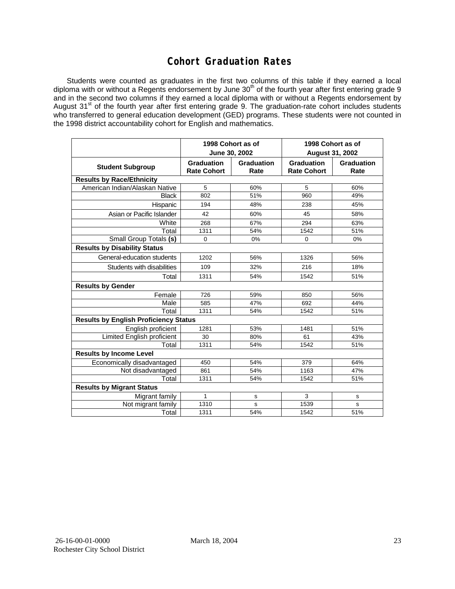## **Cohort Graduation Rates**

Students were counted as graduates in the first two columns of this table if they earned a local diploma with or without a Regents endorsement by June 30<sup>th</sup> of the fourth year after first entering grade 9 and in the second two columns if they earned a local diploma with or without a Regents endorsement by August 31<sup>st</sup> of the fourth year after first entering grade 9. The graduation-rate cohort includes students who transferred to general education development (GED) programs. These students were not counted in the 1998 district accountability cohort for English and mathematics.

|                                              |                                  | 1998 Cohort as of<br>June 30, 2002 | 1998 Cohort as of<br><b>August 31, 2002</b> |                    |  |  |  |  |  |
|----------------------------------------------|----------------------------------|------------------------------------|---------------------------------------------|--------------------|--|--|--|--|--|
| <b>Student Subgroup</b>                      | Graduation<br><b>Rate Cohort</b> | Graduation<br>Rate                 | Graduation<br><b>Rate Cohort</b>            | Graduation<br>Rate |  |  |  |  |  |
| <b>Results by Race/Ethnicity</b>             |                                  |                                    |                                             |                    |  |  |  |  |  |
| American Indian/Alaskan Native               | 5                                | 60%                                | 5                                           | 60%                |  |  |  |  |  |
| <b>Black</b>                                 | 802                              | 51%                                | 960                                         | 49%                |  |  |  |  |  |
| Hispanic                                     | 194                              | 48%                                | 238                                         | 45%                |  |  |  |  |  |
| Asian or Pacific Islander                    | 42                               | 60%                                | 45                                          | 58%                |  |  |  |  |  |
| White                                        | 268                              | 67%                                | 294                                         | 63%                |  |  |  |  |  |
| Total                                        | 1311                             | 54%                                | 1542                                        | 51%                |  |  |  |  |  |
| Small Group Totals (s)                       | $\mathbf 0$                      | $0\%$                              | 0                                           | 0%                 |  |  |  |  |  |
| <b>Results by Disability Status</b>          |                                  |                                    |                                             |                    |  |  |  |  |  |
| General-education students                   | 1202                             | 56%                                | 1326                                        | 56%                |  |  |  |  |  |
| Students with disabilities                   | 109                              | 32%                                | 216                                         | 18%                |  |  |  |  |  |
| Total                                        | 1311                             | 54%                                | 1542                                        | 51%                |  |  |  |  |  |
| <b>Results by Gender</b>                     |                                  |                                    |                                             |                    |  |  |  |  |  |
| Female                                       | 726                              | 59%                                | 850                                         | 56%                |  |  |  |  |  |
| Male                                         | 585                              | 47%                                | 692                                         | 44%                |  |  |  |  |  |
| Total                                        | 1311                             | 54%                                | 1542                                        | 51%                |  |  |  |  |  |
| <b>Results by English Proficiency Status</b> |                                  |                                    |                                             |                    |  |  |  |  |  |
| English proficient                           | 1281                             | 53%                                | 1481                                        | 51%                |  |  |  |  |  |
| <b>Limited English proficient</b>            | 30                               | 80%                                | 61                                          | 43%                |  |  |  |  |  |
| Total                                        | 1311                             | 54%                                | 1542                                        | 51%                |  |  |  |  |  |
| <b>Results by Income Level</b>               |                                  |                                    |                                             |                    |  |  |  |  |  |
| Economically disadvantaged                   | 450                              | 54%                                | 379                                         | 64%                |  |  |  |  |  |
| Not disadvantaged                            | 861                              | 54%                                | 1163                                        | 47%                |  |  |  |  |  |
| Total                                        | 1311                             | 54%                                | 1542                                        | 51%                |  |  |  |  |  |
| <b>Results by Migrant Status</b>             |                                  |                                    |                                             |                    |  |  |  |  |  |
| Migrant family                               | 1                                | s                                  | 3                                           | s                  |  |  |  |  |  |
| Not migrant family                           | 1310                             | s                                  | 1539                                        | s                  |  |  |  |  |  |
| Total                                        | 1311                             | 54%                                | 1542                                        | 51%                |  |  |  |  |  |